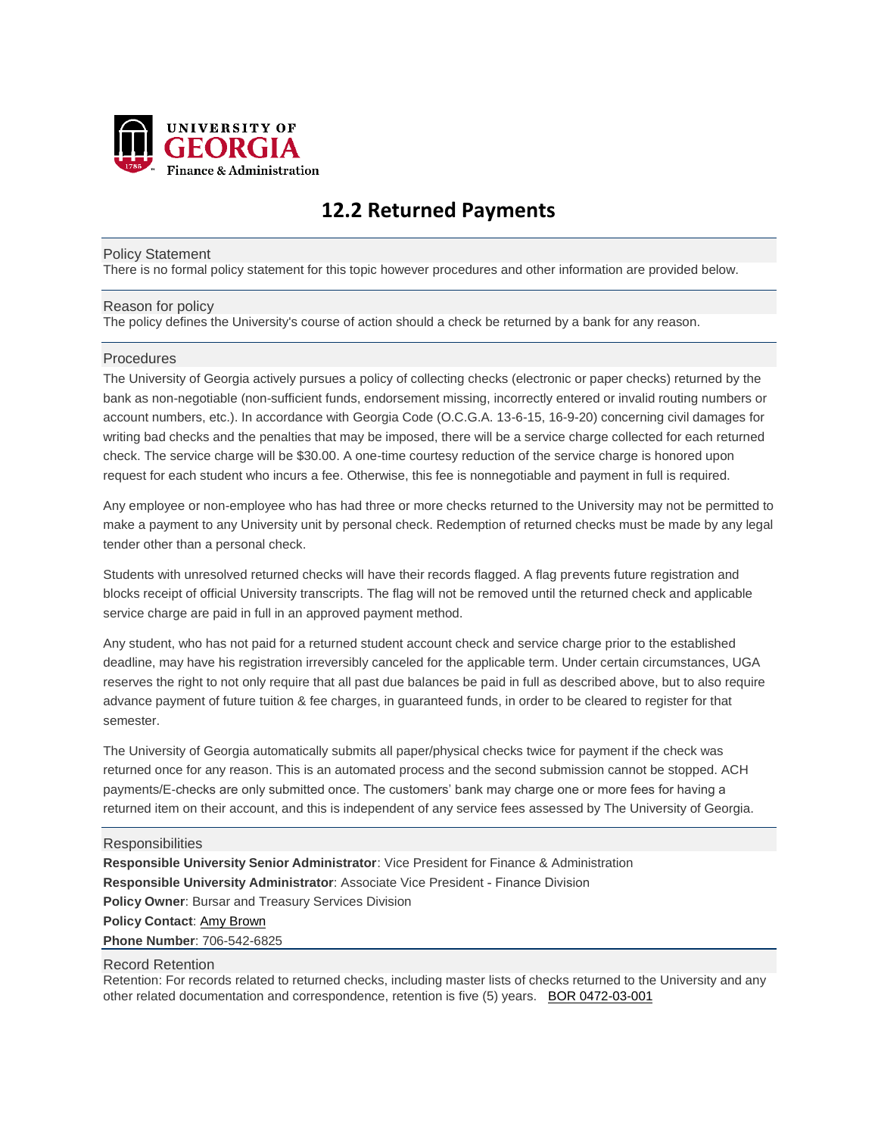

# **12.2 Returned Payments**

#### Policy Statement

There is no formal policy statement for this topic however procedures and other information are provided below.

### Reason for policy

The policy defines the University's course of action should a check be returned by a bank for any reason.

## **Procedures**

The University of Georgia actively pursues a policy of collecting checks (electronic or paper checks) returned by the bank as non-negotiable (non-sufficient funds, endorsement missing, incorrectly entered or invalid routing numbers or account numbers, etc.). In accordance with Georgia Code (O.C.G.A. 13-6-15, 16-9-20) concerning civil damages for writing bad checks and the penalties that may be imposed, there will be a service charge collected for each returned check. The service charge will be \$30.00. A one-time courtesy reduction of the service charge is honored upon request for each student who incurs a fee. Otherwise, this fee is nonnegotiable and payment in full is required.

Any employee or non-employee who has had three or more checks returned to the University may not be permitted to make a payment to any University unit by personal check. Redemption of returned checks must be made by any legal tender other than a personal check.

Students with unresolved returned checks will have their records flagged. A flag prevents future registration and blocks receipt of official University transcripts. The flag will not be removed until the returned check and applicable service charge are paid in full in an approved payment method.

Any student, who has not paid for a returned student account check and service charge prior to the established deadline, may have his registration irreversibly canceled for the applicable term. Under certain circumstances, UGA reserves the right to not only require that all past due balances be paid in full as described above, but to also require advance payment of future tuition & fee charges, in guaranteed funds, in order to be cleared to register for that semester.

The University of Georgia automatically submits all paper/physical checks twice for payment if the check was returned once for any reason. This is an automated process and the second submission cannot be stopped. ACH payments/E-checks are only submitted once. The customers' bank may charge one or more fees for having a returned item on their account, and this is independent of any service fees assessed by The University of Georgia.

## **Responsibilities**

**Responsible University Senior Administrator**: Vice President for Finance & Administration **Responsible University Administrator**: Associate Vice President - Finance Division **Policy Owner**: Bursar and Treasury Services Division **Policy Contact**[: Amy Brown](mailto:amybrown@uga.edu) **Phone Number**: 706-542-6825

### Record Retention

Retention: For records related to returned checks, including master lists of checks returned to the University and any other related documentation and correspondence, retention is five (5) years. BOR [0472-03-001](http://www.usg.edu/records_management/schedules/935)